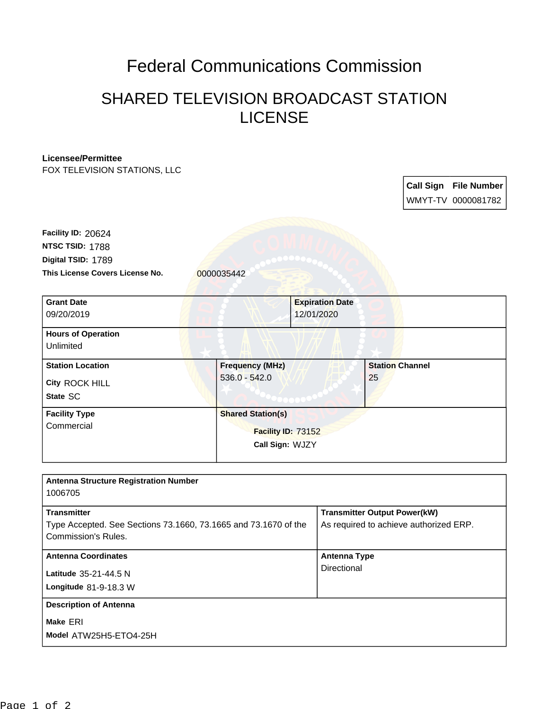## Federal Communications Commission

## SHARED TELEVISION BROADCAST STATION LICENSE

## **Licensee/Permittee**

FOX TELEVISION STATIONS, LLC

**Call Sign File Number** WMYT-TV 0000081782

This License Covers License No. 0000035442 **Digital TSID:** 1789 **NTSC TSID:** 1788 **Facility ID:** 20624

| <b>Grant Date</b>                  | <b>Expiration Date</b>   |                        |  |
|------------------------------------|--------------------------|------------------------|--|
| 09/20/2019                         | 12/01/2020               |                        |  |
| <b>Hours of Operation</b>          |                          |                        |  |
| Unlimited                          |                          |                        |  |
| <b>Station Location</b>            | <b>Frequency (MHz)</b>   | <b>Station Channel</b> |  |
| City ROCK HILL                     | $536.0 - 542.0$          | 25                     |  |
| State SC                           |                          |                        |  |
| <b>Facility Type</b><br>Commercial | <b>Shared Station(s)</b> |                        |  |
|                                    | Facility ID: 73152       |                        |  |
|                                    | Call Sign: WJZY          |                        |  |
|                                    |                          |                        |  |

| <b>Antenna Structure Registration Number</b><br>1006705                                                             |                                                                               |
|---------------------------------------------------------------------------------------------------------------------|-------------------------------------------------------------------------------|
| <b>Transmitter</b><br>Type Accepted. See Sections 73.1660, 73.1665 and 73.1670 of the<br><b>Commission's Rules.</b> | <b>Transmitter Output Power(kW)</b><br>As required to achieve authorized ERP. |
| <b>Antenna Coordinates</b><br>Latitude 35-21-44.5 N<br>Longitude $81-9-18.3$ W                                      | Antenna Type<br>Directional                                                   |
| <b>Description of Antenna</b><br>Make ERI<br>Model ATW25H5-ETO4-25H                                                 |                                                                               |